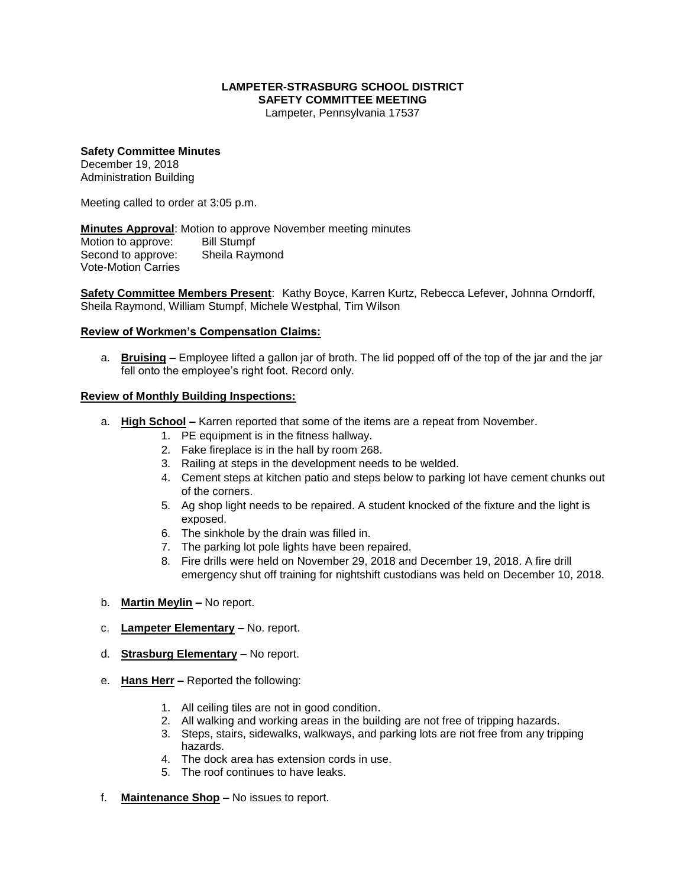## **LAMPETER-STRASBURG SCHOOL DISTRICT SAFETY COMMITTEE MEETING**

Lampeter, Pennsylvania 17537

## **Safety Committee Minutes** December 19, 2018

Administration Building

Meeting called to order at 3:05 p.m.

**Minutes Approval**: Motion to approve November meeting minutes Motion to approve: Bill Stumpf Second to approve: Sheila Raymond Vote-Motion Carries

**Safety Committee Members Present**: Kathy Boyce, Karren Kurtz, Rebecca Lefever, Johnna Orndorff, Sheila Raymond, William Stumpf, Michele Westphal, Tim Wilson

## **Review of Workmen's Compensation Claims:**

a. **Bruising –** Employee lifted a gallon jar of broth. The lid popped off of the top of the jar and the jar fell onto the employee's right foot. Record only.

## **Review of Monthly Building Inspections:**

- a. **High School –** Karren reported that some of the items are a repeat from November.
	- 1. PE equipment is in the fitness hallway.
	- 2. Fake fireplace is in the hall by room 268.
	- 3. Railing at steps in the development needs to be welded.
	- 4. Cement steps at kitchen patio and steps below to parking lot have cement chunks out of the corners.
	- 5. Ag shop light needs to be repaired. A student knocked of the fixture and the light is exposed.
	- 6. The sinkhole by the drain was filled in.
	- 7. The parking lot pole lights have been repaired.
	- 8. Fire drills were held on November 29, 2018 and December 19, 2018. A fire drill emergency shut off training for nightshift custodians was held on December 10, 2018.
- b. **Martin Meylin –** No report.
- c. **Lampeter Elementary –** No. report.
- d. **Strasburg Elementary –** No report.
- e. **Hans Herr –** Reported the following:
	- 1. All ceiling tiles are not in good condition.
	- 2. All walking and working areas in the building are not free of tripping hazards.
	- 3. Steps, stairs, sidewalks, walkways, and parking lots are not free from any tripping hazards.
	- 4. The dock area has extension cords in use.
	- 5. The roof continues to have leaks.
- f. **Maintenance Shop –** No issues to report.